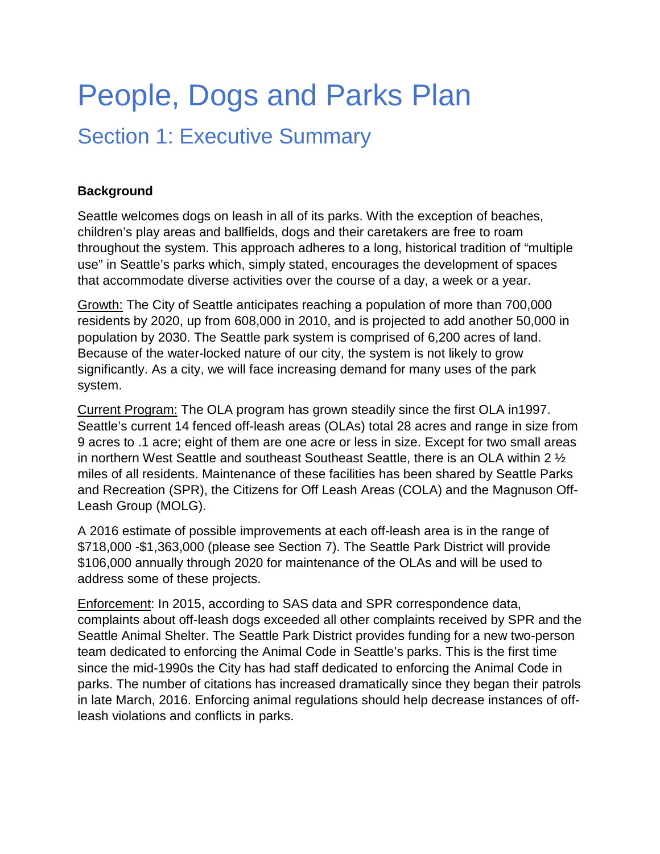# People, Dogs and Parks Plan

# Section 1: Executive Summary

### **Background**

Seattle welcomes dogs on leash in all of its parks. With the exception of beaches, children's play areas and ballfields, dogs and their caretakers are free to roam throughout the system. This approach adheres to a long, historical tradition of "multiple use" in Seattle's parks which, simply stated, encourages the development of spaces that accommodate diverse activities over the course of a day, a week or a year.

Growth: The City of Seattle anticipates reaching a population of more than 700,000 residents by 2020, up from 608,000 in 2010, and is projected to add another 50,000 in population by 2030. The Seattle park system is comprised of 6,200 acres of land. Because of the water-locked nature of our city, the system is not likely to grow significantly. As a city, we will face increasing demand for many uses of the park system.

Current Program: The OLA program has grown steadily since the first OLA in1997. Seattle's current 14 fenced off-leash areas (OLAs) total 28 acres and range in size from 9 acres to .1 acre; eight of them are one acre or less in size. Except for two small areas in northern West Seattle and southeast Southeast Seattle, there is an OLA within 2 ½ miles of all residents. Maintenance of these facilities has been shared by Seattle Parks and Recreation (SPR), the Citizens for Off Leash Areas (COLA) and the Magnuson Off-Leash Group (MOLG).

A 2016 estimate of possible improvements at each off-leash area is in the range of \$718,000 -\$1,363,000 (please see Section 7). The Seattle Park District will provide \$106,000 annually through 2020 for maintenance of the OLAs and will be used to address some of these projects.

Enforcement: In 2015, according to SAS data and SPR correspondence data, complaints about off-leash dogs exceeded all other complaints received by SPR and the Seattle Animal Shelter. The Seattle Park District provides funding for a new two-person team dedicated to enforcing the Animal Code in Seattle's parks. This is the first time since the mid-1990s the City has had staff dedicated to enforcing the Animal Code in parks. The number of citations has increased dramatically since they began their patrols in late March, 2016. Enforcing animal regulations should help decrease instances of offleash violations and conflicts in parks.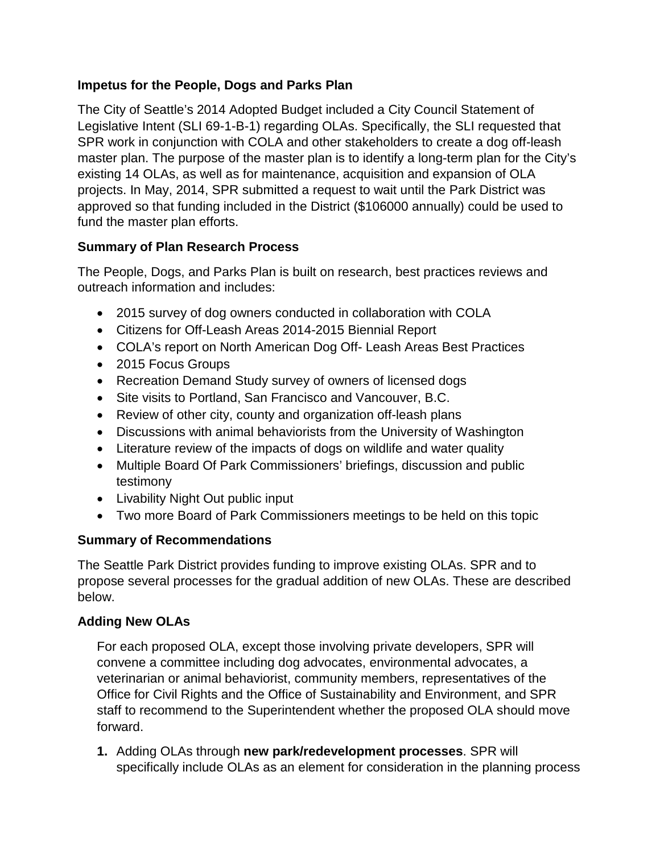#### **Impetus for the People, Dogs and Parks Plan**

The City of Seattle's 2014 Adopted Budget included a City Council Statement of Legislative Intent (SLI 69-1-B-1) regarding OLAs. Specifically, the SLI requested that SPR work in conjunction with COLA and other stakeholders to create a dog off-leash master plan. The purpose of the master plan is to identify a long-term plan for the City's existing 14 OLAs, as well as for maintenance, acquisition and expansion of OLA projects. In May, 2014, SPR submitted a request to wait until the Park District was approved so that funding included in the District (\$106000 annually) could be used to fund the master plan efforts.

# **Summary of Plan Research Process**

The People, Dogs, and Parks Plan is built on research, best practices reviews and outreach information and includes:

- 2015 survey of dog owners conducted in collaboration with COLA
- Citizens for Off-Leash Areas 2014-2015 Biennial Report
- COLA's report on North American Dog Off- Leash Areas Best Practices
- 2015 Focus Groups
- Recreation Demand Study survey of owners of licensed dogs
- Site visits to Portland, San Francisco and Vancouver, B.C.
- Review of other city, county and organization off-leash plans
- Discussions with animal behaviorists from the University of Washington
- Literature review of the impacts of dogs on wildlife and water quality
- Multiple Board Of Park Commissioners' briefings, discussion and public testimony
- Livability Night Out public input
- Two more Board of Park Commissioners meetings to be held on this topic

#### **Summary of Recommendations**

The Seattle Park District provides funding to improve existing OLAs. SPR and to propose several processes for the gradual addition of new OLAs. These are described below.

# **Adding New OLAs**

For each proposed OLA, except those involving private developers, SPR will convene a committee including dog advocates, environmental advocates, a veterinarian or animal behaviorist, community members, representatives of the Office for Civil Rights and the Office of Sustainability and Environment, and SPR staff to recommend to the Superintendent whether the proposed OLA should move forward.

**1.** Adding OLAs through **new park/redevelopment processes**. SPR will specifically include OLAs as an element for consideration in the planning process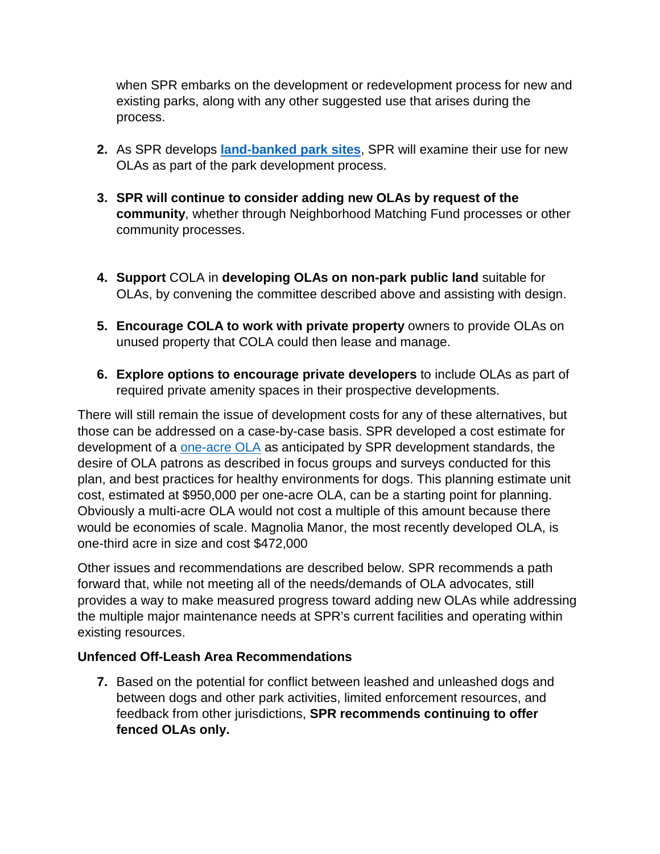when SPR embarks on the development or redevelopment process for new and existing parks, along with any other suggested use that arises during the process.

- **2.** As SPR develops **[land-banked park sites](http://www.seattle.gov/parks/levy/land_bank_acquisitions_list_20150915.pdf)**, SPR will examine their use for new OLAs as part of the park development process.
- **3. SPR will continue to consider adding new OLAs by request of the community**, whether through Neighborhood Matching Fund processes or other community processes.
- **4. Support** COLA in **developing OLAs on non-park public land** suitable for OLAs, by convening the committee described above and assisting with design.
- **5. Encourage COLA to work with private property owners to provide OLAs on** unused property that COLA could then lease and manage.
- **6. Explore options to encourage private developers** to include OLAs as part of required private amenity spaces in their prospective developments.

There will still remain the issue of development costs for any of these alternatives, but those can be addressed on a case-by-case basis. SPR developed a cost estimate for development of a [one-acre OLA](file://COSFS01/OSE/Home/PintodS/olaoneacre.pdf) as anticipated by SPR development standards, the desire of OLA patrons as described in focus groups and surveys conducted for this plan, and best practices for healthy environments for dogs. This planning estimate unit cost, estimated at \$950,000 per one-acre OLA, can be a starting point for planning. Obviously a multi-acre OLA would not cost a multiple of this amount because there would be economies of scale. Magnolia Manor, the most recently developed OLA, is one-third acre in size and cost \$472,000

Other issues and recommendations are described below. SPR recommends a path forward that, while not meeting all of the needs/demands of OLA advocates, still provides a way to make measured progress toward adding new OLAs while addressing the multiple major maintenance needs at SPR's current facilities and operating within existing resources.

#### **Unfenced Off-Leash Area Recommendations**

**7.** Based on the potential for conflict between leashed and unleashed dogs and between dogs and other park activities, limited enforcement resources, and feedback from other jurisdictions, **SPR recommends continuing to offer fenced OLAs only.**